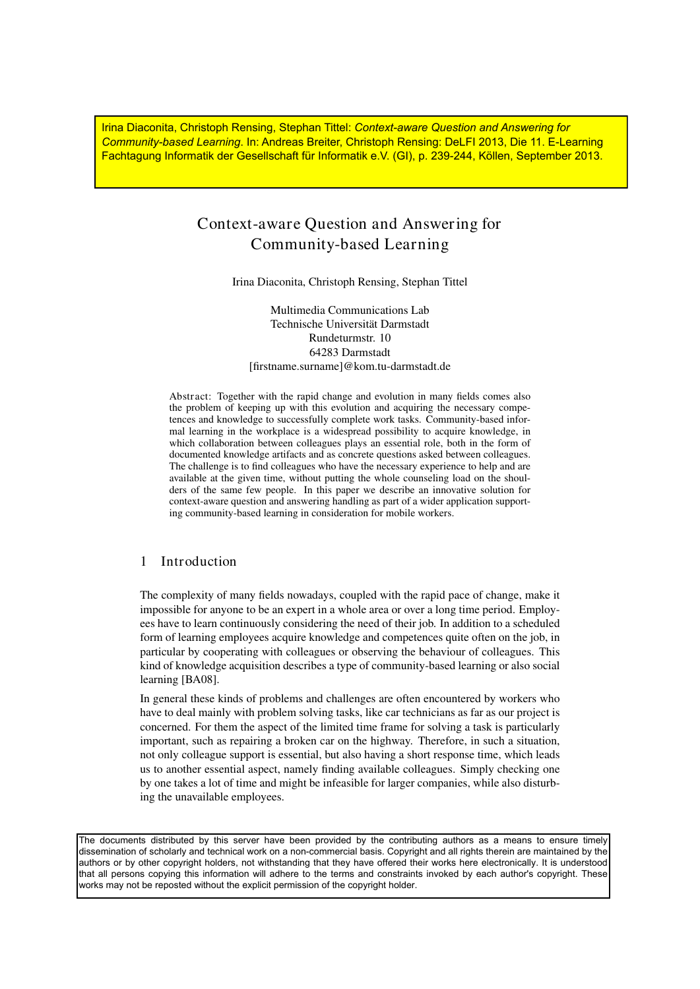Irina Diaconita, Christoph Rensing, Stephan Tittel: *Context-aware Question and Answering for Community-based Learning*. In: Andreas Breiter, Christoph Rensing: DeLFI 2013, Die 11. E-Learning Fachtagung Informatik der Gesellschaft für Informatik e.V. (GI), p. 239-244, Köllen, September 2013.

# Context-aware Question and Answering for Community-based Learning

Irina Diaconita, Christoph Rensing, Stephan Tittel

Multimedia Communications Lab Technische Universität Darmstadt Rundeturmstr. 10 64283 Darmstadt [firstname.surname]@kom.tu-darmstadt.de

Abstr act: Together with the rapid change and evolution in many fields comes also the problem of keeping up with this evolution and acquiring the necessary competences and knowledge to successfully complete work tasks. Community-based informal learning in the workplace is a widespread possibility to acquire knowledge, in which collaboration between colleagues plays an essential role, both in the form of documented knowledge artifacts and as concrete questions asked between colleagues. The challenge is to find colleagues who have the necessary experience to help and are available at the given time, without putting the whole counseling load on the shoulders of the same few people. In this paper we describe an innovative solution for context-aware question and answering handling as part of a wider application supporting community-based learning in consideration for mobile workers.

## 1 Introduction

The complexity of many fields nowadays, coupled with the rapid pace of change, make it impossible for anyone to be an expert in a whole area or over a long time period. Employees have to learn continuously considering the need of their job. In addition to a scheduled form of learning employees acquire knowledge and competences quite often on the job, in particular by cooperating with colleagues or observing the behaviour of colleagues. This kind of knowledge acquisition describes a type of community-based learning or also social learning [BA08].

In general these kinds of problems and challenges are often encountered by workers who have to deal mainly with problem solving tasks, like car technicians as far as our project is concerned. For them the aspect of the limited time frame for solving a task is particularly important, such as repairing a broken car on the highway. Therefore, in such a situation, not only colleague support is essential, but also having a short response time, which leads us to another essential aspect, namely finding available colleagues. Simply checking one by one takes a lot of time and might be infeasible for larger companies, while also disturbing the unavailable employees.

The documents distributed by this server have been provided by the contributing authors as a means to ensure timely dissemination of scholarly and technical work on a non-commercial basis. Copyright and all rights therein are maintained by the authors or by other copyright holders, not withstanding that they have offered their works here electronically. It is understood that all persons copying this information will adhere to the terms and constraints invoked by each author's copyright. These works may not be reposted without the explicit permission of the copyright holder.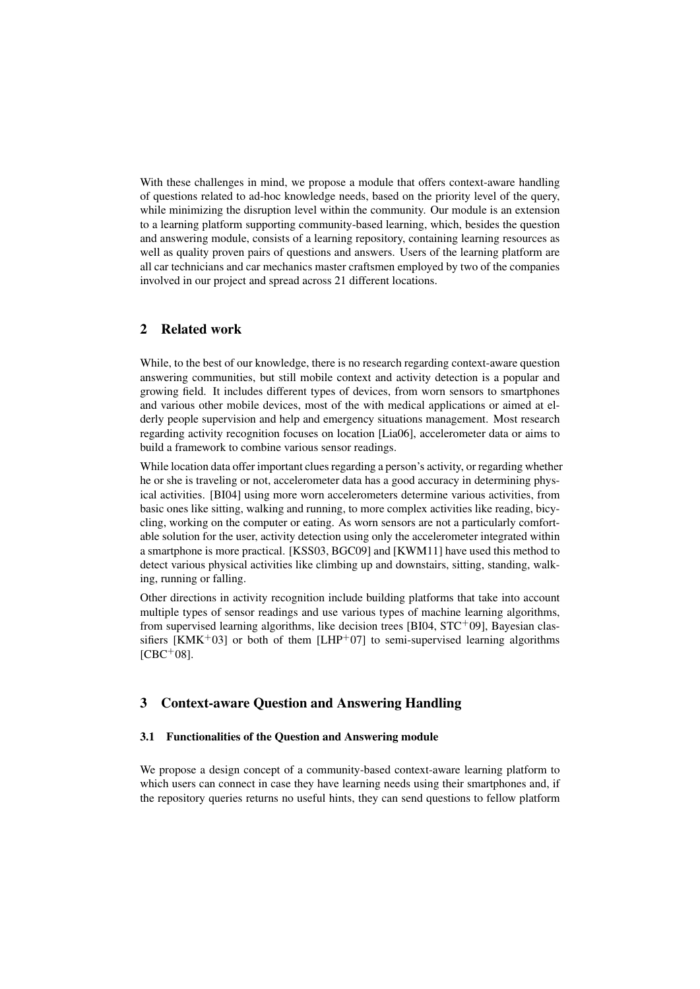With these challenges in mind, we propose a module that offers context-aware handling of questions related to ad-hoc knowledge needs, based on the priority level of the query, while minimizing the disruption level within the community. Our module is an extension to a learning platform supporting community-based learning, which, besides the question and answering module, consists of a learning repository, containing learning resources as well as quality proven pairs of questions and answers. Users of the learning platform are all car technicians and car mechanics master craftsmen employed by two of the companies involved in our project and spread across 21 different locations.

## 2 Related work

While, to the best of our knowledge, there is no research regarding context-aware question answering communities, but still mobile context and activity detection is a popular and growing field. It includes different types of devices, from worn sensors to smartphones and various other mobile devices, most of the with medical applications or aimed at elderly people supervision and help and emergency situations management. Most research regarding activity recognition focuses on location [Lia06], accelerometer data or aims to build a framework to combine various sensor readings.

While location data offer important clues regarding a person's activity, or regarding whether he or she is traveling or not, accelerometer data has a good accuracy in determining physical activities. [BI04] using more worn accelerometers determine various activities, from basic ones like sitting, walking and running, to more complex activities like reading, bicycling, working on the computer or eating. As worn sensors are not a particularly comfortable solution for the user, activity detection using only the accelerometer integrated within a smartphone is more practical. [KSS03, BGC09] and [KWM11] have used this method to detect various physical activities like climbing up and downstairs, sitting, standing, walking, running or falling.

Other directions in activity recognition include building platforms that take into account multiple types of sensor readings and use various types of machine learning algorithms, from supervised learning algorithms, like decision trees [BI04,  $STC^+09$ ]. Bayesian classifiers  $KMK+03$  or both of them  $[LHP+07]$  to semi-supervised learning algorithms  $[CBC^{+}08]$ .

## 3 Context-aware Question and Answering Handling

#### 3.1 Functionalities of the Question and Answering module

We propose a design concept of a community-based context-aware learning platform to which users can connect in case they have learning needs using their smartphones and, if the repository queries returns no useful hints, they can send questions to fellow platform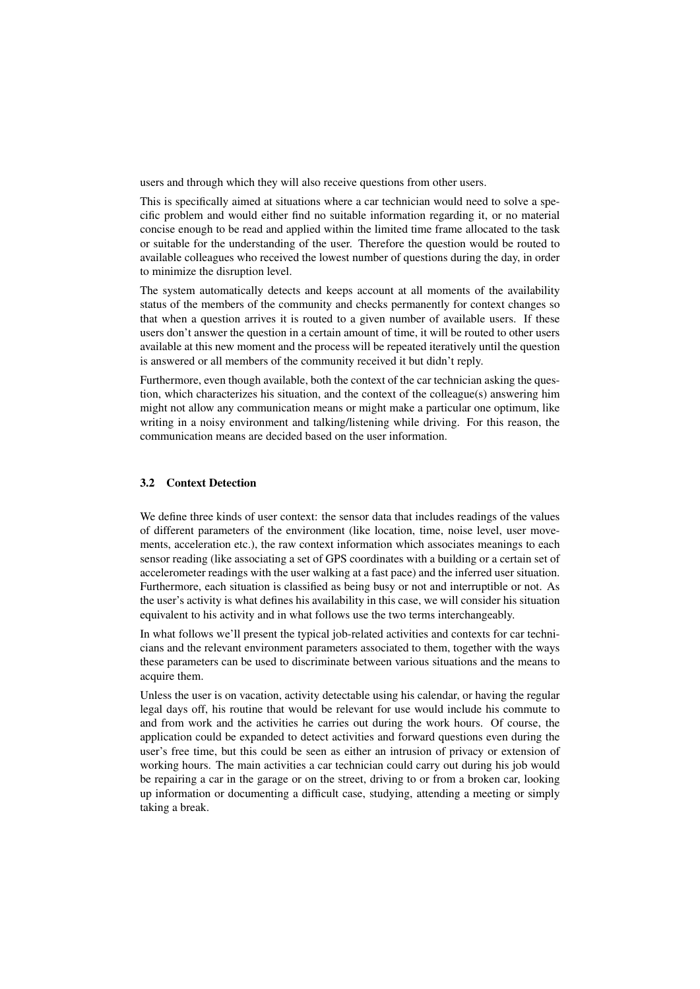users and through which they will also receive questions from other users.

This is specifically aimed at situations where a car technician would need to solve a specific problem and would either find no suitable information regarding it, or no material concise enough to be read and applied within the limited time frame allocated to the task or suitable for the understanding of the user. Therefore the question would be routed to available colleagues who received the lowest number of questions during the day, in order to minimize the disruption level.

The system automatically detects and keeps account at all moments of the availability status of the members of the community and checks permanently for context changes so that when a question arrives it is routed to a given number of available users. If these users don't answer the question in a certain amount of time, it will be routed to other users available at this new moment and the process will be repeated iteratively until the question is answered or all members of the community received it but didn't reply.

Furthermore, even though available, both the context of the car technician asking the question, which characterizes his situation, and the context of the colleague(s) answering him might not allow any communication means or might make a particular one optimum, like writing in a noisy environment and talking/listening while driving. For this reason, the communication means are decided based on the user information.

#### 3.2 Context Detection

We define three kinds of user context: the sensor data that includes readings of the values of different parameters of the environment (like location, time, noise level, user movements, acceleration etc.), the raw context information which associates meanings to each sensor reading (like associating a set of GPS coordinates with a building or a certain set of accelerometer readings with the user walking at a fast pace) and the inferred user situation. Furthermore, each situation is classified as being busy or not and interruptible or not. As the user's activity is what defines his availability in this case, we will consider his situation equivalent to his activity and in what follows use the two terms interchangeably.

In what follows we'll present the typical job-related activities and contexts for car technicians and the relevant environment parameters associated to them, together with the ways these parameters can be used to discriminate between various situations and the means to acquire them.

Unless the user is on vacation, activity detectable using his calendar, or having the regular legal days off, his routine that would be relevant for use would include his commute to and from work and the activities he carries out during the work hours. Of course, the application could be expanded to detect activities and forward questions even during the user's free time, but this could be seen as either an intrusion of privacy or extension of working hours. The main activities a car technician could carry out during his job would be repairing a car in the garage or on the street, driving to or from a broken car, looking up information or documenting a difficult case, studying, attending a meeting or simply taking a break.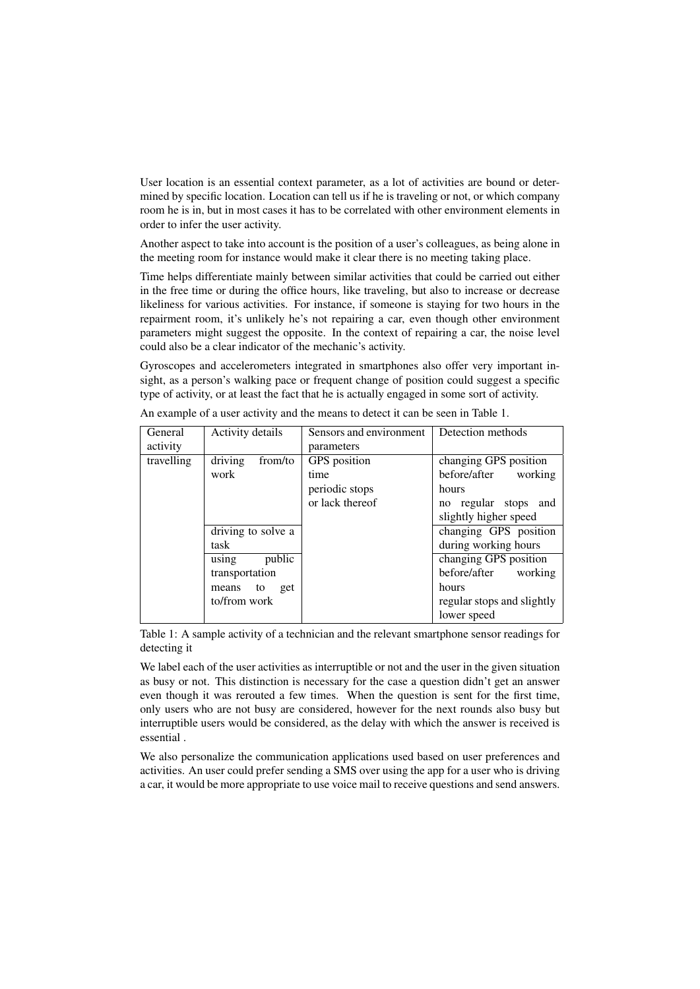User location is an essential context parameter, as a lot of activities are bound or determined by specific location. Location can tell us if he is traveling or not, or which company room he is in, but in most cases it has to be correlated with other environment elements in order to infer the user activity.

Another aspect to take into account is the position of a user's colleagues, as being alone in the meeting room for instance would make it clear there is no meeting taking place.

Time helps differentiate mainly between similar activities that could be carried out either in the free time or during the office hours, like traveling, but also to increase or decrease likeliness for various activities. For instance, if someone is staying for two hours in the repairment room, it's unlikely he's not repairing a car, even though other environment parameters might suggest the opposite. In the context of repairing a car, the noise level could also be a clear indicator of the mechanic's activity.

Gyroscopes and accelerometers integrated in smartphones also offer very important insight, as a person's walking pace or frequent change of position could suggest a specific type of activity, or at least the fact that he is actually engaged in some sort of activity.

| General    | Activity details   | Sensors and environment | Detection methods          |
|------------|--------------------|-------------------------|----------------------------|
| activity   |                    | parameters              |                            |
| travelling | driving<br>from/to | GPS position            | changing GPS position      |
|            | work               | time                    | before/after working       |
|            |                    | periodic stops          | hours                      |
|            |                    | or lack thereof         | no regular stops and       |
|            |                    |                         | slightly higher speed      |
|            | driving to solve a |                         | changing GPS position      |
|            | task               |                         | during working hours       |
|            | public<br>using    |                         | changing GPS position      |
|            | transportation     |                         | before/after working       |
|            | to<br>get<br>means |                         | hours                      |
|            | to/from work       |                         | regular stops and slightly |
|            |                    |                         | lower speed                |

An example of a user activity and the means to detect it can be seen in Table 1.

Table 1: A sample activity of a technician and the relevant smartphone sensor readings for detecting it

We label each of the user activities as interruptible or not and the user in the given situation as busy or not. This distinction is necessary for the case a question didn't get an answer even though it was rerouted a few times. When the question is sent for the first time, only users who are not busy are considered, however for the next rounds also busy but interruptible users would be considered, as the delay with which the answer is received is essential .

We also personalize the communication applications used based on user preferences and activities. An user could prefer sending a SMS over using the app for a user who is driving a car, it would be more appropriate to use voice mail to receive questions and send answers.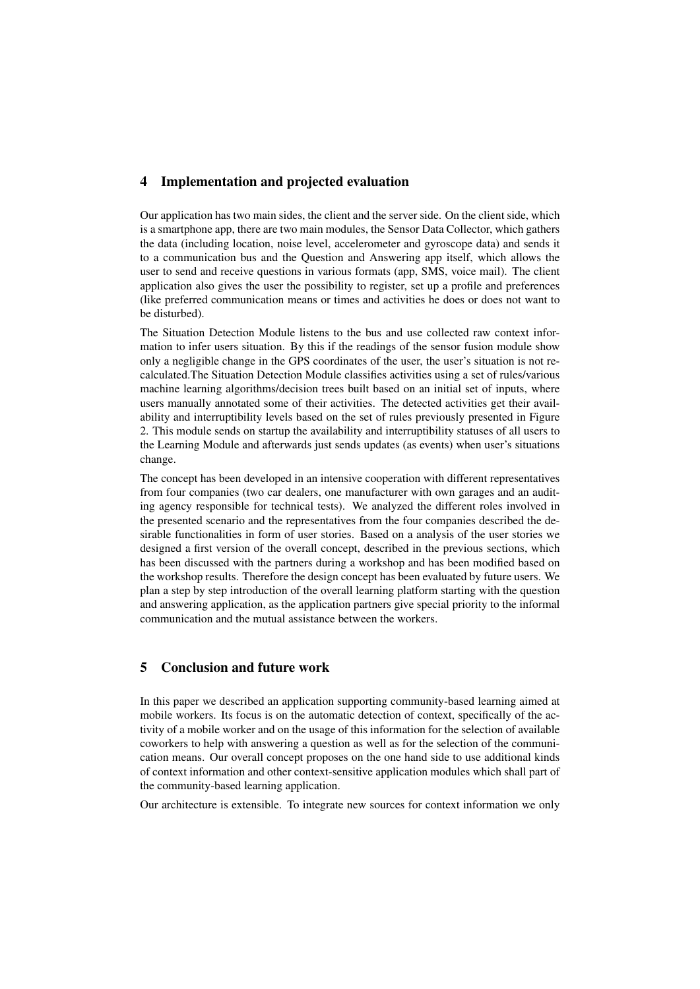## 4 Implementation and projected evaluation

Our application has two main sides, the client and the server side. On the client side, which is a smartphone app, there are two main modules, the Sensor Data Collector, which gathers the data (including location, noise level, accelerometer and gyroscope data) and sends it to a communication bus and the Question and Answering app itself, which allows the user to send and receive questions in various formats (app, SMS, voice mail). The client application also gives the user the possibility to register, set up a profile and preferences (like preferred communication means or times and activities he does or does not want to be disturbed).

The Situation Detection Module listens to the bus and use collected raw context information to infer users situation. By this if the readings of the sensor fusion module show only a negligible change in the GPS coordinates of the user, the user's situation is not recalculated.The Situation Detection Module classifies activities using a set of rules/various machine learning algorithms/decision trees built based on an initial set of inputs, where users manually annotated some of their activities. The detected activities get their availability and interruptibility levels based on the set of rules previously presented in Figure 2. This module sends on startup the availability and interruptibility statuses of all users to the Learning Module and afterwards just sends updates (as events) when user's situations change.

The concept has been developed in an intensive cooperation with different representatives from four companies (two car dealers, one manufacturer with own garages and an auditing agency responsible for technical tests). We analyzed the different roles involved in the presented scenario and the representatives from the four companies described the desirable functionalities in form of user stories. Based on a analysis of the user stories we designed a first version of the overall concept, described in the previous sections, which has been discussed with the partners during a workshop and has been modified based on the workshop results. Therefore the design concept has been evaluated by future users. We plan a step by step introduction of the overall learning platform starting with the question and answering application, as the application partners give special priority to the informal communication and the mutual assistance between the workers.

## 5 Conclusion and future work

In this paper we described an application supporting community-based learning aimed at mobile workers. Its focus is on the automatic detection of context, specifically of the activity of a mobile worker and on the usage of this information for the selection of available coworkers to help with answering a question as well as for the selection of the communication means. Our overall concept proposes on the one hand side to use additional kinds of context information and other context-sensitive application modules which shall part of the community-based learning application.

Our architecture is extensible. To integrate new sources for context information we only